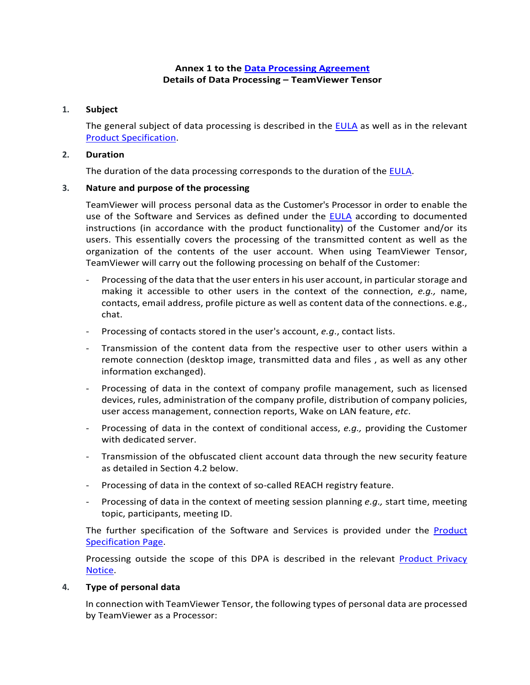## **Annex 1 to the [Data Processing Agreement](https://www.teamviewer.com/en/eula/#dpa) Details of Data Processing – TeamViewer Tensor**

### **1. Subject**

The general subject of data processing is described in the [EULA](https://www.teamviewer.com/en/eula/#eula) as well as in the relevant [Product Specification.](https://www.teamviewer.com/en/product-descriptions/)

#### **2. Duration**

The duration of the data processing corresponds to the duration of the [EULA.](https://www.teamviewer.com/en/eula/#eula)

### **3. Nature and purpose of the processing**

TeamViewer will process personal data as the Customer's Processor in order to enable the use of the Software and Services as defined under the [EULA](https://www.teamviewer.com/en/eula/#eula) according to documented instructions (in accordance with the product functionality) of the Customer and/or its users. This essentially covers the processing of the transmitted content as well as the organization of the contents of the user account. When using TeamViewer Tensor, TeamViewer will carry out the following processing on behalf of the Customer:

- Processing of the data that the user enters in his user account, in particular storage and making it accessible to other users in the context of the connection, *e.g.,* name, contacts, email address, profile picture as well as content data of the connections. e.g., chat.
- Processing of contacts stored in the user's account, *e.g*., contact lists.
- Transmission of the content data from the respective user to other users within a remote connection (desktop image, transmitted data and files , as well as any other information exchanged).
- Processing of data in the context of company profile management, such as licensed devices, rules, administration of the company profile, distribution of company policies, user access management, connection reports, Wake on LAN feature, *etc*.
- Processing of data in the context of conditional access, *e.g.*, providing the Customer with dedicated server.
- Transmission of the obfuscated client account data through the new security feature as detailed in Section 4.2 below.
- Processing of data in the context of so-called REACH registry feature.
- Processing of data in the context of meeting session planning *e.g.,* start time, meeting topic, participants, meeting ID.

The further specification of the Software and Services is provided under the **Product** [Specification Page.](https://www.teamviewer.com/en/product-descriptions/)

Processing outside the scope of this DPA is described in the relevant Product Privacy [Notice.](https://www.teamviewer.com/en/privacy-policy/)

#### **4. Type of personal data**

In connection with TeamViewer Tensor, the following types of personal data are processed by TeamViewer as a Processor: